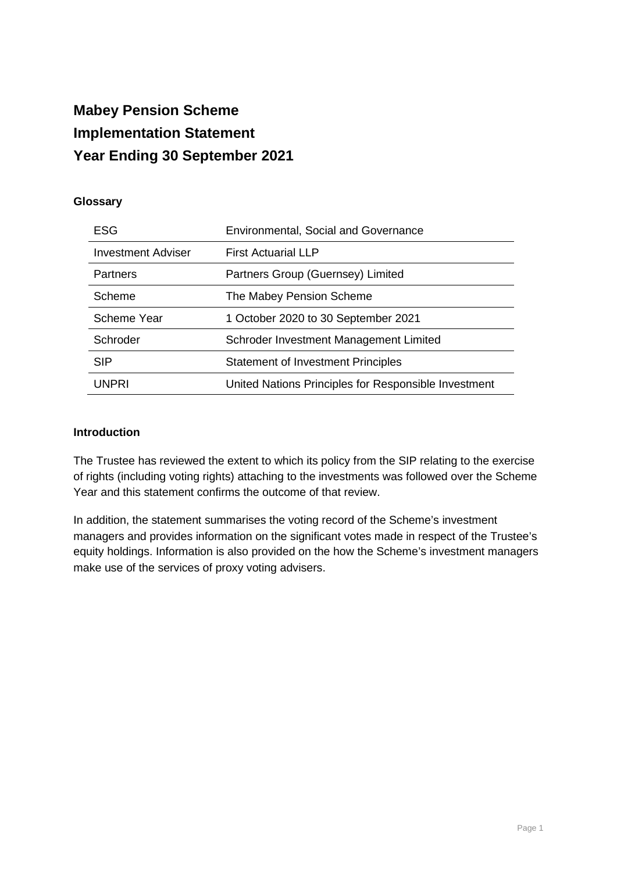# **Mabey Pension Scheme Implementation Statement Year Ending 30 September 2021**

## **Glossary**

| ESG                       | <b>Environmental, Social and Governance</b>          |  |  |
|---------------------------|------------------------------------------------------|--|--|
| <b>Investment Adviser</b> | <b>First Actuarial LLP</b>                           |  |  |
| <b>Partners</b>           | Partners Group (Guernsey) Limited                    |  |  |
| Scheme                    | The Mabey Pension Scheme                             |  |  |
| Scheme Year               | 1 October 2020 to 30 September 2021                  |  |  |
| Schroder                  | Schroder Investment Management Limited               |  |  |
| <b>SIP</b>                | <b>Statement of Investment Principles</b>            |  |  |
| <b>UNPRI</b>              | United Nations Principles for Responsible Investment |  |  |

#### **Introduction**

The Trustee has reviewed the extent to which its policy from the SIP relating to the exercise of rights (including voting rights) attaching to the investments was followed over the Scheme Year and this statement confirms the outcome of that review.

In addition, the statement summarises the voting record of the Scheme's investment managers and provides information on the significant votes made in respect of the Trustee's equity holdings. Information is also provided on the how the Scheme's investment managers make use of the services of proxy voting advisers.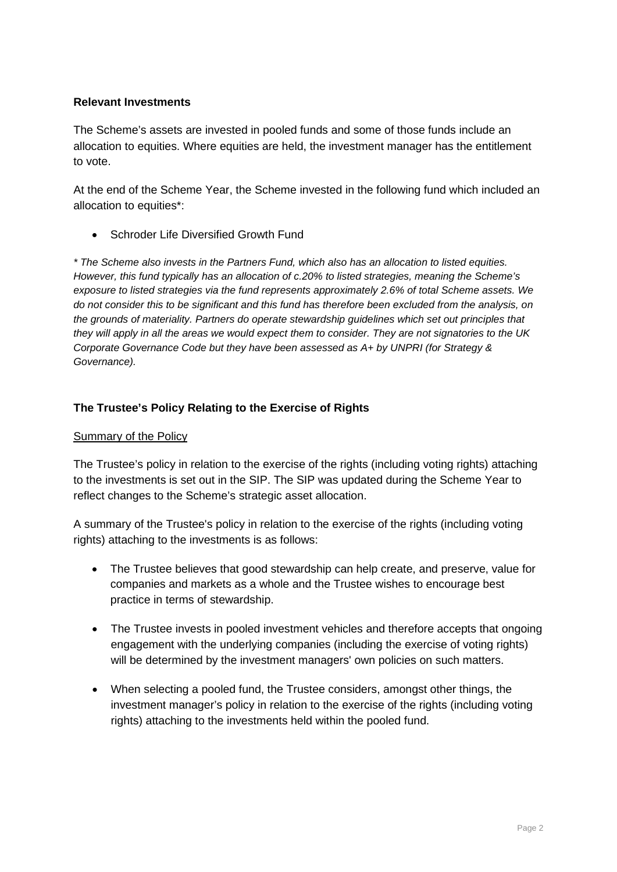## **Relevant Investments**

The Scheme's assets are invested in pooled funds and some of those funds include an allocation to equities. Where equities are held, the investment manager has the entitlement to vote.

At the end of the Scheme Year, the Scheme invested in the following fund which included an allocation to equities\*:

• Schroder Life Diversified Growth Fund

*\* The Scheme also invests in the Partners Fund, which also has an allocation to listed equities. However, this fund typically has an allocation of c.20% to listed strategies, meaning the Scheme's exposure to listed strategies via the fund represents approximately 2.6% of total Scheme assets. We do not consider this to be significant and this fund has therefore been excluded from the analysis, on the grounds of materiality. Partners do operate stewardship guidelines which set out principles that they will apply in all the areas we would expect them to consider. They are not signatories to the UK Corporate Governance Code but they have been assessed as A+ by UNPRI (for Strategy & Governance).*

## **The Trustee's Policy Relating to the Exercise of Rights**

#### Summary of the Policy

The Trustee's policy in relation to the exercise of the rights (including voting rights) attaching to the investments is set out in the SIP. The SIP was updated during the Scheme Year to reflect changes to the Scheme's strategic asset allocation.

A summary of the Trustee's policy in relation to the exercise of the rights (including voting rights) attaching to the investments is as follows:

- The Trustee believes that good stewardship can help create, and preserve, value for companies and markets as a whole and the Trustee wishes to encourage best practice in terms of stewardship.
- The Trustee invests in pooled investment vehicles and therefore accepts that ongoing engagement with the underlying companies (including the exercise of voting rights) will be determined by the investment managers' own policies on such matters.
- When selecting a pooled fund, the Trustee considers, amongst other things, the investment manager's policy in relation to the exercise of the rights (including voting rights) attaching to the investments held within the pooled fund.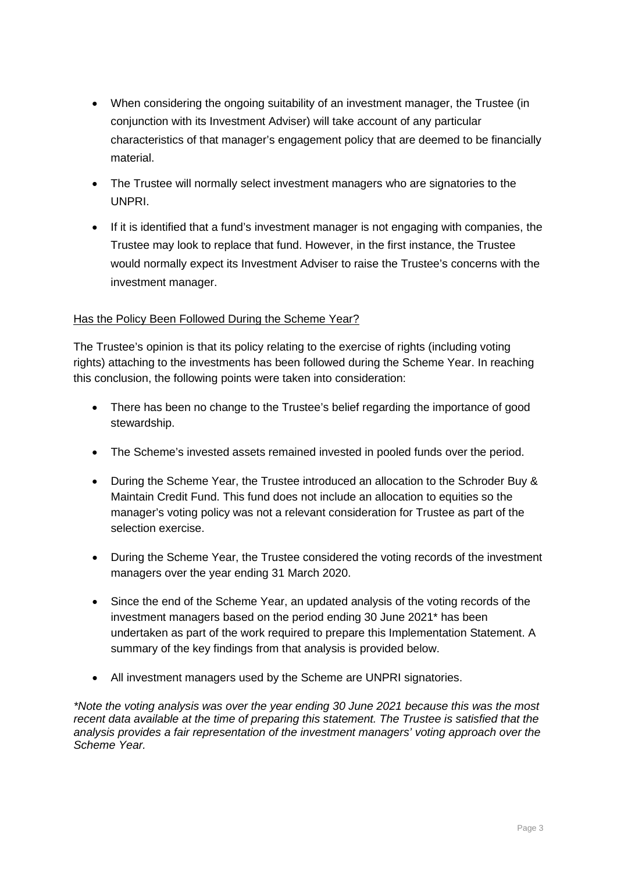- When considering the ongoing suitability of an investment manager, the Trustee (in conjunction with its Investment Adviser) will take account of any particular characteristics of that manager's engagement policy that are deemed to be financially material.
- The Trustee will normally select investment managers who are signatories to the UNPRI.
- If it is identified that a fund's investment manager is not engaging with companies, the Trustee may look to replace that fund. However, in the first instance, the Trustee would normally expect its Investment Adviser to raise the Trustee's concerns with the investment manager.

### Has the Policy Been Followed During the Scheme Year?

The Trustee's opinion is that its policy relating to the exercise of rights (including voting rights) attaching to the investments has been followed during the Scheme Year. In reaching this conclusion, the following points were taken into consideration:

- There has been no change to the Trustee's belief regarding the importance of good stewardship.
- The Scheme's invested assets remained invested in pooled funds over the period.
- During the Scheme Year, the Trustee introduced an allocation to the Schroder Buy & Maintain Credit Fund. This fund does not include an allocation to equities so the manager's voting policy was not a relevant consideration for Trustee as part of the selection exercise.
- During the Scheme Year, the Trustee considered the voting records of the investment managers over the year ending 31 March 2020.
- Since the end of the Scheme Year, an updated analysis of the voting records of the investment managers based on the period ending 30 June 2021\* has been undertaken as part of the work required to prepare this Implementation Statement. A summary of the key findings from that analysis is provided below.
- All investment managers used by the Scheme are UNPRI signatories.

*\*Note the voting analysis was over the year ending 30 June 2021 because this was the most recent data available at the time of preparing this statement. The Trustee is satisfied that the analysis provides a fair representation of the investment managers' voting approach over the Scheme Year.*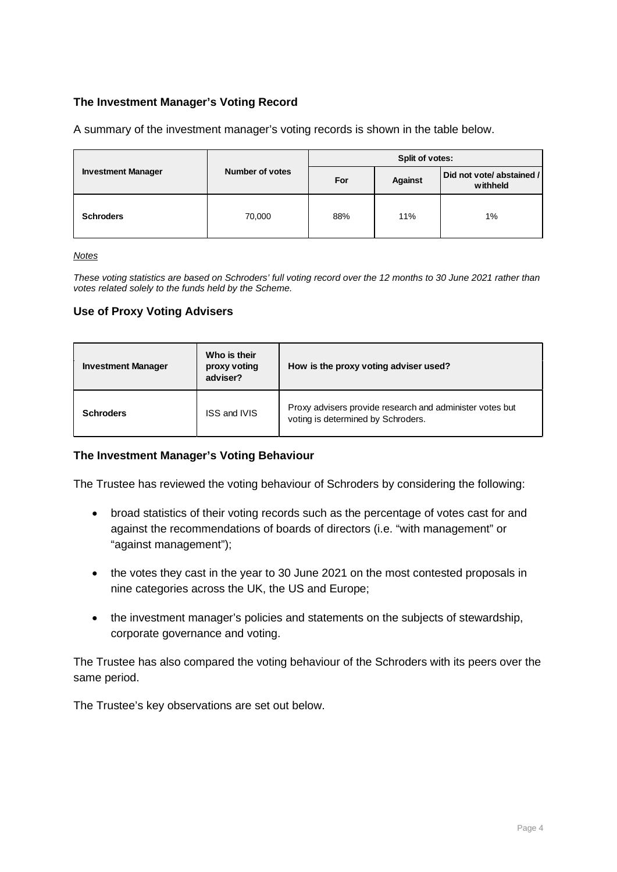## **The Investment Manager's Voting Record**

A summary of the investment manager's voting records is shown in the table below.

|                           |                        | Split of votes: |                |                                       |  |
|---------------------------|------------------------|-----------------|----------------|---------------------------------------|--|
| <b>Investment Manager</b> | <b>Number of votes</b> | For             | <b>Against</b> | Did not vote/ abstained /<br>withheld |  |
| <b>Schroders</b>          | 70,000                 | 88%             | 11%            | 1%                                    |  |

*Notes* 

*These voting statistics are based on Schroders' full voting record over the 12 months to 30 June 2021 rather than votes related solely to the funds held by the Scheme.*

#### **Use of Proxy Voting Advisers**

| <b>Investment Manager</b> | Who is their<br>proxy voting<br>adviser? | How is the proxy voting adviser used?                                                          |
|---------------------------|------------------------------------------|------------------------------------------------------------------------------------------------|
| <b>Schroders</b>          | <b>ISS and IVIS</b>                      | Proxy advisers provide research and administer votes but<br>voting is determined by Schroders. |

#### **The Investment Manager's Voting Behaviour**

The Trustee has reviewed the voting behaviour of Schroders by considering the following:

- broad statistics of their voting records such as the percentage of votes cast for and against the recommendations of boards of directors (i.e. "with management" or "against management");
- the votes they cast in the year to 30 June 2021 on the most contested proposals in nine categories across the UK, the US and Europe;
- the investment manager's policies and statements on the subjects of stewardship, corporate governance and voting.

The Trustee has also compared the voting behaviour of the Schroders with its peers over the same period.

The Trustee's key observations are set out below.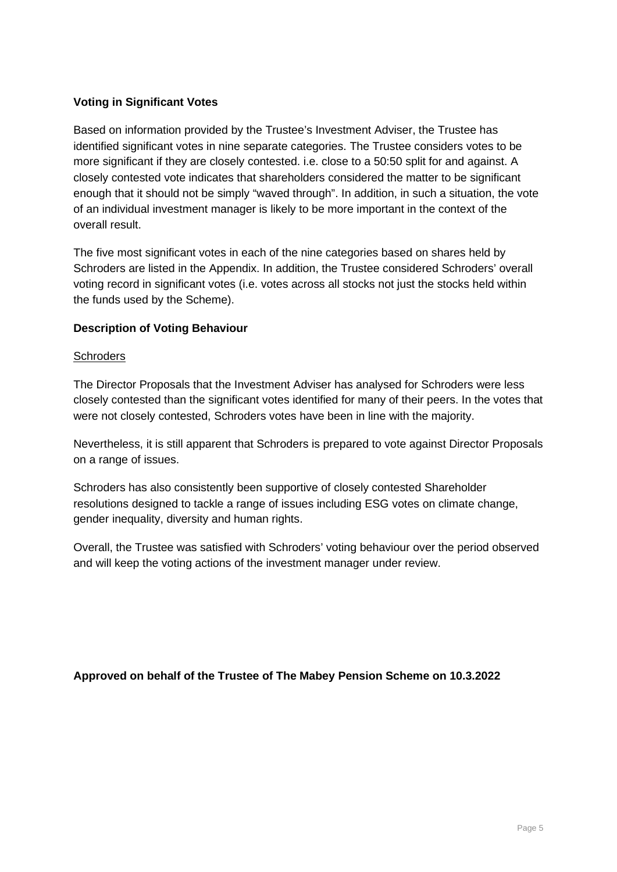## **Voting in Significant Votes**

Based on information provided by the Trustee's Investment Adviser, the Trustee has identified significant votes in nine separate categories. The Trustee considers votes to be more significant if they are closely contested. i.e. close to a 50:50 split for and against. A closely contested vote indicates that shareholders considered the matter to be significant enough that it should not be simply "waved through". In addition, in such a situation, the vote of an individual investment manager is likely to be more important in the context of the overall result.

The five most significant votes in each of the nine categories based on shares held by Schroders are listed in the Appendix. In addition, the Trustee considered Schroders' overall voting record in significant votes (i.e. votes across all stocks not just the stocks held within the funds used by the Scheme).

#### **Description of Voting Behaviour**

#### **Schroders**

The Director Proposals that the Investment Adviser has analysed for Schroders were less closely contested than the significant votes identified for many of their peers. In the votes that were not closely contested, Schroders votes have been in line with the majority.

Nevertheless, it is still apparent that Schroders is prepared to vote against Director Proposals on a range of issues.

Schroders has also consistently been supportive of closely contested Shareholder resolutions designed to tackle a range of issues including ESG votes on climate change, gender inequality, diversity and human rights.

Overall, the Trustee was satisfied with Schroders' voting behaviour over the period observed and will keep the voting actions of the investment manager under review.

## **Approved on behalf of the Trustee of The Mabey Pension Scheme on 10.3.2022**